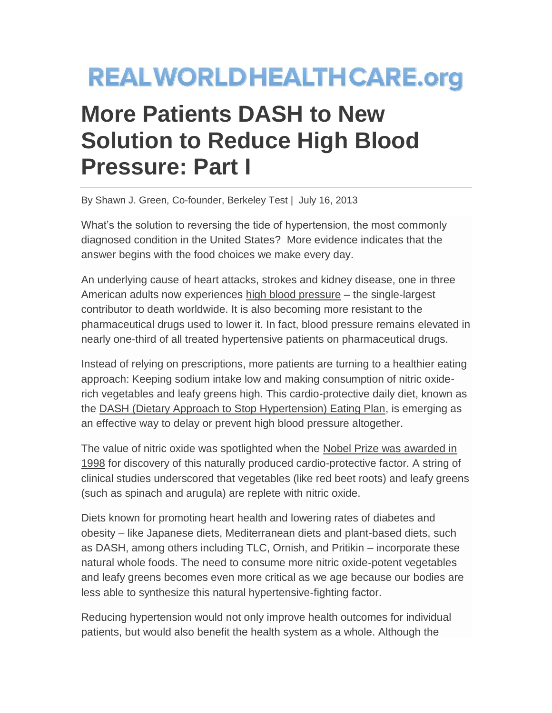## **REALWORLDHEALTHCARE.org**

## **More Patients DASH to New Solution to Reduce High Blood Pressure: Part I**

By Shawn J. Green, Co-founder, Berkeley Test | July 16, 2013

What's the solution to reversing the tide of hypertension, the most commonly diagnosed condition in the United States? More evidence indicates that the answer begins with the food choices we make every day.

An underlying cause of heart attacks, strokes and kidney disease, one in three American adults now experiences [high blood pressure](http://www.cdc.gov/bloodpressure/faqs.htm) – the single-largest contributor to death worldwide. It is also becoming more resistant to the pharmaceutical drugs used to lower it. In fact, blood pressure remains elevated in nearly one-third of all treated hypertensive patients on pharmaceutical drugs.

Instead of relying on prescriptions, more patients are turning to a healthier eating approach: Keeping sodium intake low and making consumption of nitric oxiderich vegetables and leafy greens high. This cardio-protective daily diet, known as the [DASH \(Dietary Approach to Stop Hypertension\) Eating Plan,](http://www.nhlbi.nih.gov/health/health-topics/topics/dash/) is emerging as an effective way to delay or prevent high blood pressure altogether.

The value of nitric oxide was spotlighted when the [Nobel Prize was awarded in](http://www.nobelprize.org/nobel_prizes/medicine/laureates/1998/illpres/)  [1998](http://www.nobelprize.org/nobel_prizes/medicine/laureates/1998/illpres/) for discovery of this naturally produced cardio-protective factor. A string of clinical studies underscored that vegetables (like red beet roots) and leafy greens (such as spinach and arugula) are replete with nitric oxide.

Diets known for promoting heart health and lowering rates of diabetes and obesity – like Japanese diets, Mediterranean diets and plant-based diets, such as DASH, among others including TLC, Ornish, and Pritikin – incorporate these natural whole foods. The need to consume more nitric oxide-potent vegetables and leafy greens becomes even more critical as we age because our bodies are less able to synthesize this natural hypertensive-fighting factor.

Reducing hypertension would not only improve health outcomes for individual patients, but would also benefit the health system as a whole. Although the